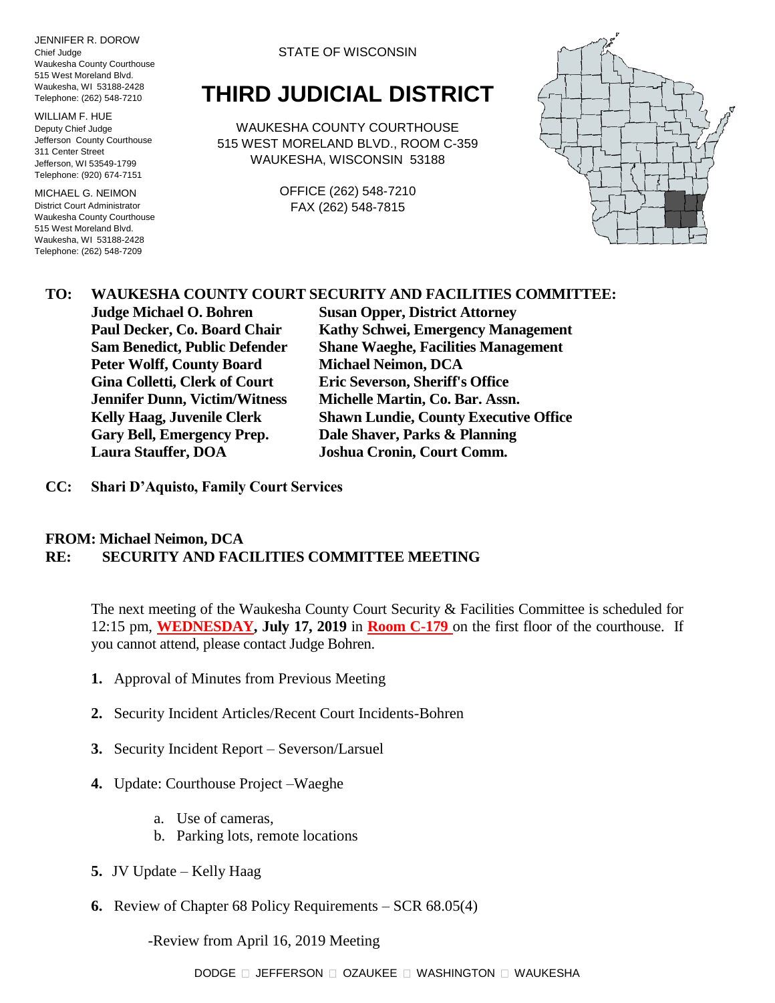JENNIFER R. DOROW Chief Judge Waukesha County Courthouse 515 West Moreland Blvd. Waukesha, WI 53188-2428 Telephone: (262) 548-7210

WILLIAM F. HUE Deputy Chief Judge Jefferson County Courthouse 311 Center Street Jefferson, WI 53549-1799 Telephone: (920) 674-7151

MICHAEL G. NEIMON District Court Administrator Waukesha County Courthouse 515 West Moreland Blvd. Waukesha, WI 53188-2428 Telephone: (262) 548-7209

STATE OF WISCONSIN

# **THIRD JUDICIAL DISTRICT**

WAUKESHA COUNTY COURTHOUSE 515 WEST MORELAND BLVD., ROOM C-359 WAUKESHA, WISCONSIN 53188

> OFFICE (262) 548-7210 FAX (262) 548-7815



#### **TO: WAUKESHA COUNTY COURT SECURITY AND FACILITIES COMMITTEE:**

**Judge Michael O. Bohren Susan Opper, District Attorney Peter Wolff, County Board Michael Neimon, DCA Gina Colletti, Clerk of Court Eric Severson, Sheriff's Office Jennifer Dunn, Victim/Witness Michelle Martin, Co. Bar. Assn. Gary Bell, Emergency Prep. Dale Shaver, Parks & Planning Laura Stauffer, DOA Joshua Cronin, Court Comm.**

**Paul Decker, Co. Board Chair Kathy Schwei, Emergency Management Sam Benedict, Public Defender Shane Waeghe, Facilities Management Kelly Haag, Juvenile Clerk Shawn Lundie, County Executive Office**

**CC: Shari D'Aquisto, Family Court Services**

#### **FROM: Michael Neimon, DCA RE: SECURITY AND FACILITIES COMMITTEE MEETING**

The next meeting of the Waukesha County Court Security & Facilities Committee is scheduled for 12:15 pm, **WEDNESDAY, July 17, 2019** in **Room C-179** on the first floor of the courthouse. If you cannot attend, please contact Judge Bohren.

- **1.** Approval of Minutes from Previous Meeting
- **2.** Security Incident Articles/Recent Court Incidents-Bohren
- **3.** Security Incident Report Severson/Larsuel
- **4.** Update: Courthouse Project –Waeghe
	- a. Use of cameras,
	- b. Parking lots, remote locations
- **5.** JV Update Kelly Haag
- **6.** Review of Chapter 68 Policy Requirements SCR 68.05(4)

-Review from April 16, 2019 Meeting